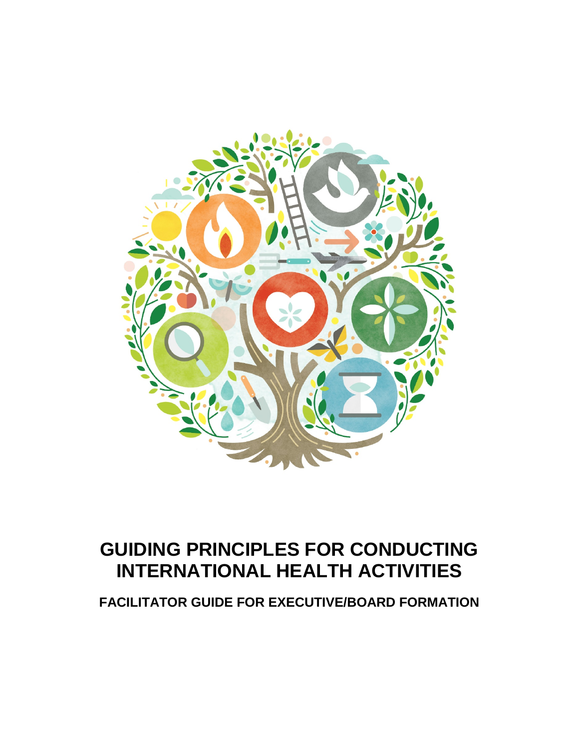

## **GUIDING PRINCIPLES FOR CONDUCTING INTERNATIONAL HEALTH ACTIVITIES**

**FACILITATOR GUIDE FOR EXECUTIVE/BOARD FORMATION**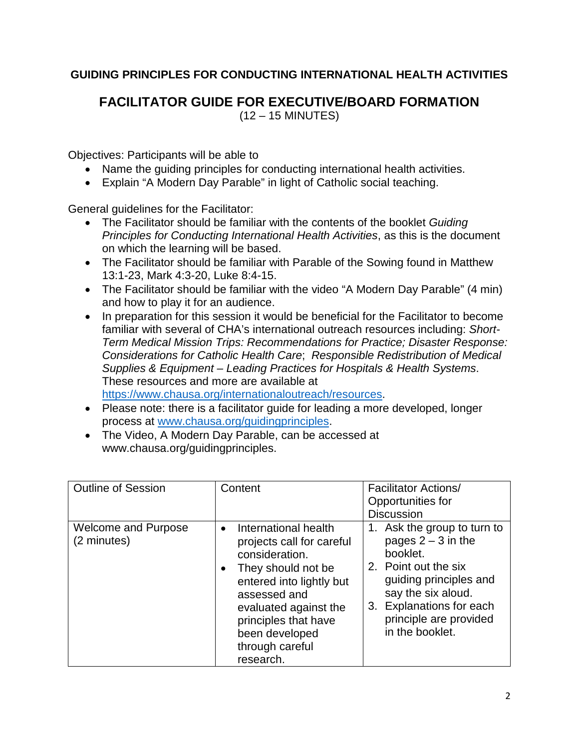## **GUIDING PRINCIPLES FOR CONDUCTING INTERNATIONAL HEALTH ACTIVITIES**

**FACILITATOR GUIDE FOR EXECUTIVE/BOARD FORMATION** (12 – 15 MINUTES)

Objectives: Participants will be able to

- Name the guiding principles for conducting international health activities.
- Explain "A Modern Day Parable" in light of Catholic social teaching.

General guidelines for the Facilitator:

- The Facilitator should be familiar with the contents of the booklet *Guiding Principles for Conducting International Health Activities*, as this is the document on which the learning will be based.
- The Facilitator should be familiar with Parable of the Sowing found in Matthew 13:1-23, Mark 4:3-20, Luke 8:4-15.
- The Facilitator should be familiar with the video "A Modern Day Parable" (4 min) and how to play it for an audience.
- In preparation for this session it would be beneficial for the Facilitator to become familiar with several of CHA's international outreach resources including: *Short-Term Medical Mission Trips: Recommendations for Practice; Disaster Response: Considerations for Catholic Health Care*; *Responsible Redistribution of Medical Supplies & Equipment – Leading Practices for Hospitals & Health Systems*. These resources and more are available at [https://www.chausa.org/internationaloutreach/resources.](https://www.chausa.org/internationaloutreach/resources)
- Please note: there is a facilitator guide for leading a more developed, longer process at [www.chausa.org/guidingprinciples.](http://www.chausa.org/guidingprinciples)
- The Video, A Modern Day Parable, can be accessed at www.chausa.org/guidingprinciples.

| <b>Outline of Session</b>          | Content                                                                                                                                                                                                                                                            | <b>Facilitator Actions/</b><br>Opportunities for<br><b>Discussion</b>                                                                                                                                            |
|------------------------------------|--------------------------------------------------------------------------------------------------------------------------------------------------------------------------------------------------------------------------------------------------------------------|------------------------------------------------------------------------------------------------------------------------------------------------------------------------------------------------------------------|
| Welcome and Purpose<br>(2 minutes) | International health<br>$\bullet$<br>projects call for careful<br>consideration.<br>They should not be<br>$\bullet$<br>entered into lightly but<br>assessed and<br>evaluated against the<br>principles that have<br>been developed<br>through careful<br>research. | 1. Ask the group to turn to<br>pages $2 - 3$ in the<br>booklet.<br>2. Point out the six<br>guiding principles and<br>say the six aloud.<br>3. Explanations for each<br>principle are provided<br>in the booklet. |